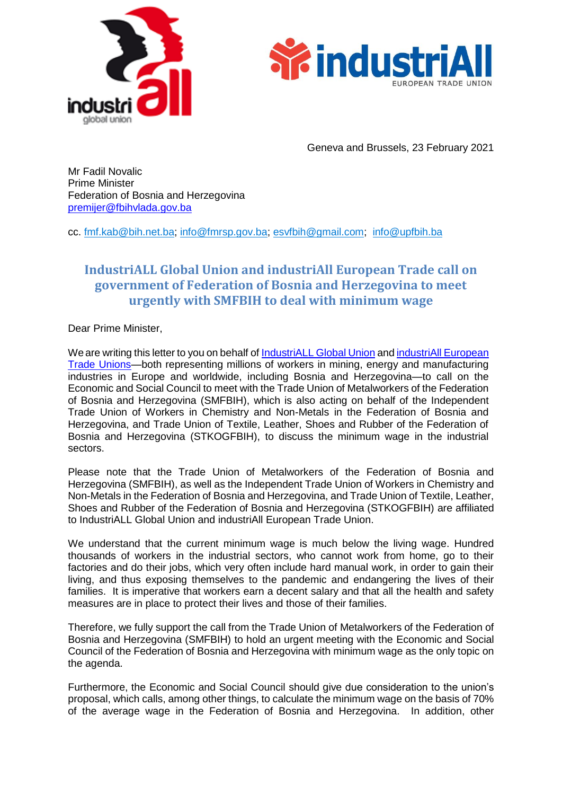



Geneva and Brussels, 23 February 2021

Mr Fadil Novalic Prime Minister Federation of Bosnia and Herzegovina [premijer@fbihvlada.gov.ba](mailto:premijer@fbihvlada.gov.ba)

cc. [fmf.kab@bih.net.ba;](mailto:fmf.kab@bih.net.ba) [info@fmrsp.gov.ba;](mailto:info@fmrsp.gov.ba) [esvfbih@gmail.com;](mailto:esvfbih@gmail.com) [info@upfbih.ba](mailto:info@upfbih.ba)

## **IndustriALL Global Union and industriAll European Trade call on government of Federation of Bosnia and Herzegovina to meet urgently with SMFBIH to deal with minimum wage**

Dear Prime Minister,

We are writing this letter to you on behalf of [IndustriALL](http://www.industriall-union.org/) Global Union and industriAll [European](https://news.industriall-europe.eu/) [Trade Unions—](https://news.industriall-europe.eu/)both representing millions of workers in mining, energy and manufacturing industries in Europe and worldwide, including Bosnia and Herzegovina—to call on the Economic and Social Council to meet with the Trade Union of Metalworkers of the Federation of Bosnia and Herzegovina (SMFBIH), which is also acting on behalf of the Independent Trade Union of Workers in Chemistry and Non-Metals in the Federation of Bosnia and Herzegovina, and Trade Union of Textile, Leather, Shoes and Rubber of the Federation of Bosnia and Herzegovina (STKOGFBIH), to discuss the minimum wage in the industrial sectors.

Please note that the Trade Union of Metalworkers of the Federation of Bosnia and Herzegovina (SMFBIH), as well as the Independent Trade Union of Workers in Chemistry and Non-Metals in the Federation of Bosnia and Herzegovina, and Trade Union of Textile, Leather, Shoes and Rubber of the Federation of Bosnia and Herzegovina (STKOGFBIH) are affiliated to [IndustriALL Global Union](http://www.industriall-union.org/) and [industriAll European Trade Union.](http://www.industriall-europe.eu/)

We understand that the current minimum wage is much below the living wage. Hundred thousands of workers in the industrial sectors, who cannot work from home, go to their factories and do their jobs, which very often include hard manual work, in order to gain their living, and thus exposing themselves to the pandemic and endangering the lives of their families. It is imperative that workers earn a decent salary and that all the health and safety measures are in place to protect their lives and those of their families.

Therefore, we fully support the call from the Trade Union of Metalworkers of the Federation of Bosnia and Herzegovina (SMFBIH) to hold an urgent meeting with the Economic and Social Council of the Federation of Bosnia and Herzegovina with minimum wage as the only topic on the agenda.

Furthermore, the Economic and Social Council should give due consideration to the union's proposal, which calls, among other things, to calculate the minimum wage on the basis of 70% of the average wage in the Federation of Bosnia and Herzegovina. In addition, other